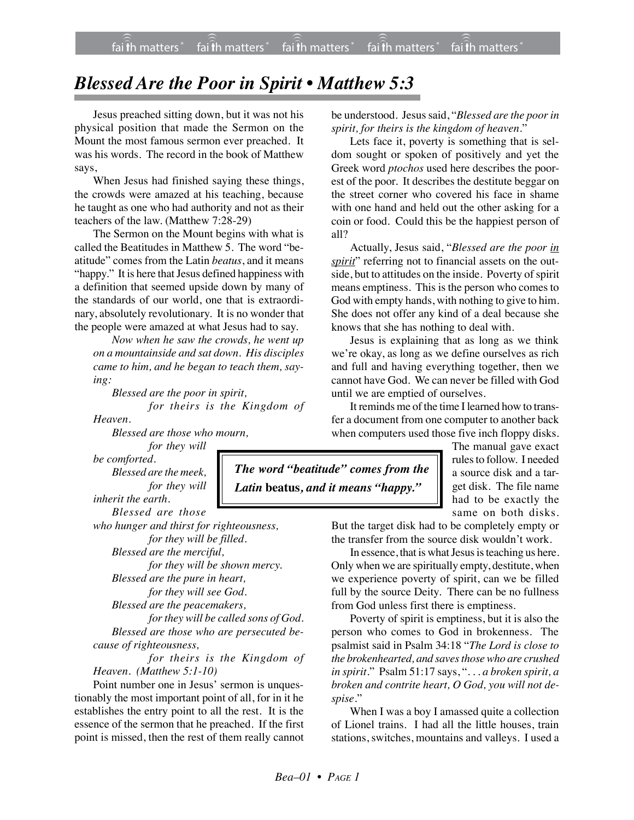## *Blessed Are the Poor in Spirit • Matthew 5:3*

Jesus preached sitting down, but it was not his physical position that made the Sermon on the Mount the most famous sermon ever preached. It was his words. The record in the book of Matthew says,

When Jesus had finished saying these things, the crowds were amazed at his teaching, because he taught as one who had authority and not as their teachers of the law. (Matthew 7:28-29)

The Sermon on the Mount begins with what is called the Beatitudes in Matthew 5. The word "beatitude" comes from the Latin *beatus*, and it means "happy." It is here that Jesus defined happiness with a definition that seemed upside down by many of the standards of our world, one that is extraordinary, absolutely revolutionary. It is no wonder that the people were amazed at what Jesus had to say.

*Now when he saw the crowds, he went up on a mountainside and sat down. His disciples came to him, and he began to teach them, saying:*

*Blessed are the poor in spirit,*

*for theirs is the Kingdom of Heaven.*

*Blessed are those who mourn,*

*for they will*

*be comforted. Blessed are the meek, for they will inherit the earth.*

*Blessed are those*

*who hunger and thirst for righteousness, for they will be filled. Blessed are the merciful, for they will be shown mercy. Blessed are the pure in heart, for they will see God. Blessed are the peacemakers, for they will be called sons of God.*

*Blessed are those who are persecuted because of righteousness,*

*for theirs is the Kingdom of Heaven. (Matthew 5:1-10)*

Point number one in Jesus' sermon is unquestionably the most important point of all, for in it he establishes the entry point to all the rest. It is the essence of the sermon that he preached. If the first point is missed, then the rest of them really cannot be understood. Jesus said, "*Blessed are the poor in spirit, for theirs is the kingdom of heaven*."

Lets face it, poverty is something that is seldom sought or spoken of positively and yet the Greek word *ptochos* used here describes the poorest of the poor. It describes the destitute beggar on the street corner who covered his face in shame with one hand and held out the other asking for a coin or food. Could this be the happiest person of all?

Actually, Jesus said, "*Blessed are the poor in spirit*" referring not to financial assets on the outside, but to attitudes on the inside. Poverty of spirit means emptiness. This is the person who comes to God with empty hands, with nothing to give to him. She does not offer any kind of a deal because she knows that she has nothing to deal with.

Jesus is explaining that as long as we think we're okay, as long as we define ourselves as rich and full and having everything together, then we cannot have God. We can never be filled with God until we are emptied of ourselves.

It reminds me of the time I learned how to transfer a document from one computer to another back when computers used those five inch floppy disks.

> The manual gave exact rules to follow. I needed a source disk and a target disk. The file name had to be exactly the same on both disks.

But the target disk had to be completely empty or the transfer from the source disk wouldn't work.

In essence, that is what Jesus is teaching us here. Only when we are spiritually empty, destitute, when we experience poverty of spirit, can we be filled full by the source Deity. There can be no fullness from God unless first there is emptiness.

Poverty of spirit is emptiness, but it is also the person who comes to God in brokenness. The psalmist said in Psalm 34:18 "*The Lord is close to the brokenhearted, and saves those who are crushed in spirit*." Psalm 51:17 says, "*. . . a broken spirit, a broken and contrite heart, O God, you will not despise*."

When I was a boy I amassed quite a collection of Lionel trains. I had all the little houses, train stations, switches, mountains and valleys. I used a

*The word "beatitude" comes from the Latin* **beatus***, and it means "happy."*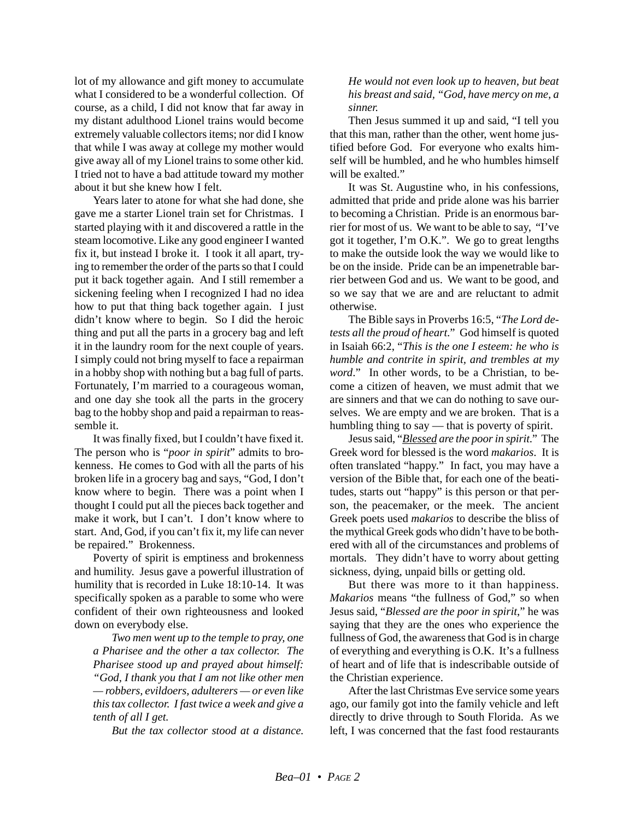lot of my allowance and gift money to accumulate what I considered to be a wonderful collection. Of course, as a child, I did not know that far away in my distant adulthood Lionel trains would become extremely valuable collectors items; nor did I know that while I was away at college my mother would give away all of my Lionel trains to some other kid. I tried not to have a bad attitude toward my mother about it but she knew how I felt.

Years later to atone for what she had done, she gave me a starter Lionel train set for Christmas. I started playing with it and discovered a rattle in the steam locomotive. Like any good engineer I wanted fix it, but instead I broke it. I took it all apart, trying to remember the order of the parts so that I could put it back together again. And I still remember a sickening feeling when I recognized I had no idea how to put that thing back together again. I just didn't know where to begin. So I did the heroic thing and put all the parts in a grocery bag and left it in the laundry room for the next couple of years. I simply could not bring myself to face a repairman in a hobby shop with nothing but a bag full of parts. Fortunately, I'm married to a courageous woman, and one day she took all the parts in the grocery bag to the hobby shop and paid a repairman to reassemble it.

It was finally fixed, but I couldn't have fixed it. The person who is "*poor in spirit*" admits to brokenness. He comes to God with all the parts of his broken life in a grocery bag and says, "God, I don't know where to begin. There was a point when I thought I could put all the pieces back together and make it work, but I can't. I don't know where to start. And, God, if you can't fix it, my life can never be repaired." Brokenness.

Poverty of spirit is emptiness and brokenness and humility. Jesus gave a powerful illustration of humility that is recorded in Luke 18:10-14. It was specifically spoken as a parable to some who were confident of their own righteousness and looked down on everybody else.

*Two men went up to the temple to pray, one a Pharisee and the other a tax collector. The Pharisee stood up and prayed about himself: "God, I thank you that I am not like other men — robbers, evildoers, adulterers — or even like this tax collector. I fast twice a week and give a tenth of all I get.*

*But the tax collector stood at a distance.*

*He would not even look up to heaven, but beat his breast and said, "God, have mercy on me, a sinner.*

Then Jesus summed it up and said, "I tell you that this man, rather than the other, went home justified before God. For everyone who exalts himself will be humbled, and he who humbles himself will be exalted."

It was St. Augustine who, in his confessions, admitted that pride and pride alone was his barrier to becoming a Christian. Pride is an enormous barrier for most of us. We want to be able to say, "I've got it together, I'm O.K.". We go to great lengths to make the outside look the way we would like to be on the inside. Pride can be an impenetrable barrier between God and us. We want to be good, and so we say that we are and are reluctant to admit otherwise.

The Bible says in Proverbs 16:5, "*The Lord detests all the proud of heart*." God himself is quoted in Isaiah 66:2, "*This is the one I esteem: he who is humble and contrite in spirit, and trembles at my word.*" In other words, to be a Christian, to become a citizen of heaven, we must admit that we are sinners and that we can do nothing to save ourselves. We are empty and we are broken. That is a humbling thing to say — that is poverty of spirit.

Jesus said, "*Blessed are the poor in spirit*." The Greek word for blessed is the word *makarios*. It is often translated "happy." In fact, you may have a version of the Bible that, for each one of the beatitudes, starts out "happy" is this person or that person, the peacemaker, or the meek. The ancient Greek poets used *makarios* to describe the bliss of the mythical Greek gods who didn't have to be bothered with all of the circumstances and problems of mortals. They didn't have to worry about getting sickness, dying, unpaid bills or getting old.

But there was more to it than happiness. *Makarios* means "the fullness of God," so when Jesus said, "*Blessed are the poor in spirit*," he was saying that they are the ones who experience the fullness of God, the awareness that God is in charge of everything and everything is O.K. It's a fullness of heart and of life that is indescribable outside of the Christian experience.

After the last Christmas Eve service some years ago, our family got into the family vehicle and left directly to drive through to South Florida. As we left, I was concerned that the fast food restaurants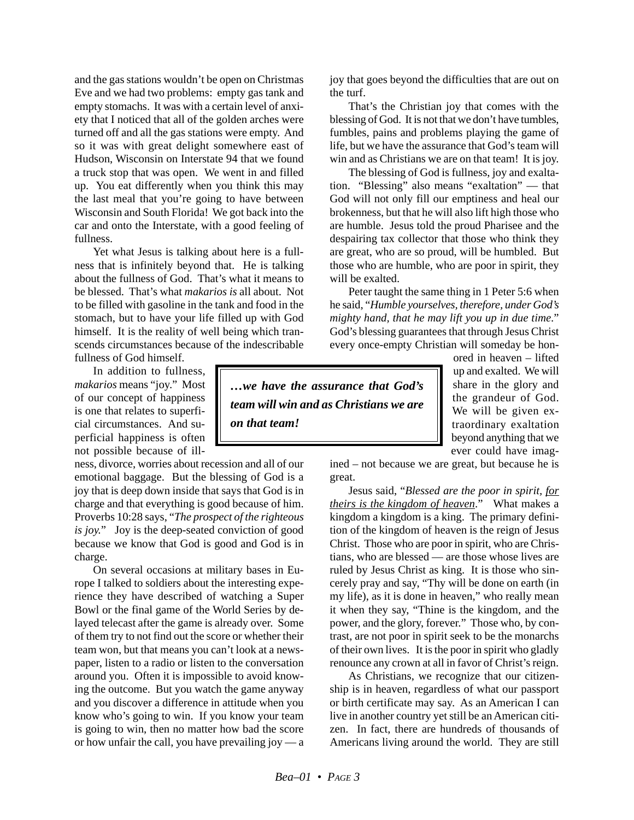and the gas stations wouldn't be open on Christmas Eve and we had two problems: empty gas tank and empty stomachs. It was with a certain level of anxiety that I noticed that all of the golden arches were turned off and all the gas stations were empty. And so it was with great delight somewhere east of Hudson, Wisconsin on Interstate 94 that we found a truck stop that was open. We went in and filled up. You eat differently when you think this may the last meal that you're going to have between Wisconsin and South Florida! We got back into the car and onto the Interstate, with a good feeling of fullness.

Yet what Jesus is talking about here is a fullness that is infinitely beyond that. He is talking about the fullness of God. That's what it means to be blessed. That's what *makarios is* all about. Not to be filled with gasoline in the tank and food in the stomach, but to have your life filled up with God himself. It is the reality of well being which transcends circumstances because of the indescribable fullness of God himself.

In addition to fullness, *makarios* means "joy." Most of our concept of happiness is one that relates to superficial circumstances. And superficial happiness is often not possible because of ill-

ness, divorce, worries about recession and all of our emotional baggage. But the blessing of God is a joy that is deep down inside that says that God is in charge and that everything is good because of him. Proverbs 10:28 says, "*The prospect of the righteous is joy.*" Joy is the deep-seated conviction of good because we know that God is good and God is in charge.

On several occasions at military bases in Europe I talked to soldiers about the interesting experience they have described of watching a Super Bowl or the final game of the World Series by delayed telecast after the game is already over. Some of them try to not find out the score or whether their team won, but that means you can't look at a newspaper, listen to a radio or listen to the conversation around you. Often it is impossible to avoid knowing the outcome. But you watch the game anyway and you discover a difference in attitude when you know who's going to win. If you know your team is going to win, then no matter how bad the score or how unfair the call, you have prevailing joy — a joy that goes beyond the difficulties that are out on the turf.

That's the Christian joy that comes with the blessing of God. It is not that we don't have tumbles, fumbles, pains and problems playing the game of life, but we have the assurance that God's team will win and as Christians we are on that team! It is joy.

The blessing of God is fullness, joy and exaltation. "Blessing" also means "exaltation" — that God will not only fill our emptiness and heal our brokenness, but that he will also lift high those who are humble. Jesus told the proud Pharisee and the despairing tax collector that those who think they are great, who are so proud, will be humbled. But those who are humble, who are poor in spirit, they will be exalted.

Peter taught the same thing in 1 Peter 5:6 when he said, "*Humble yourselves, therefore, under God's mighty hand, that he may lift you up in due time*." God's blessing guarantees that through Jesus Christ every once-empty Christian will someday be hon-

*…we have the assurance that God's team will win and as Christians we are on that team!*

ored in heaven – lifted up and exalted. We will share in the glory and the grandeur of God. We will be given extraordinary exaltation beyond anything that we ever could have imag-

ined – not because we are great, but because he is great.

Jesus said, "*Blessed are the poor in spirit, for theirs is the kingdom of heaven*." What makes a kingdom a kingdom is a king. The primary definition of the kingdom of heaven is the reign of Jesus Christ. Those who are poor in spirit, who are Christians, who are blessed — are those whose lives are ruled by Jesus Christ as king. It is those who sincerely pray and say, "Thy will be done on earth (in my life), as it is done in heaven," who really mean it when they say, "Thine is the kingdom, and the power, and the glory, forever." Those who, by contrast, are not poor in spirit seek to be the monarchs of their own lives. It is the poor in spirit who gladly renounce any crown at all in favor of Christ's reign.

As Christians, we recognize that our citizenship is in heaven, regardless of what our passport or birth certificate may say. As an American I can live in another country yet still be an American citizen. In fact, there are hundreds of thousands of Americans living around the world. They are still